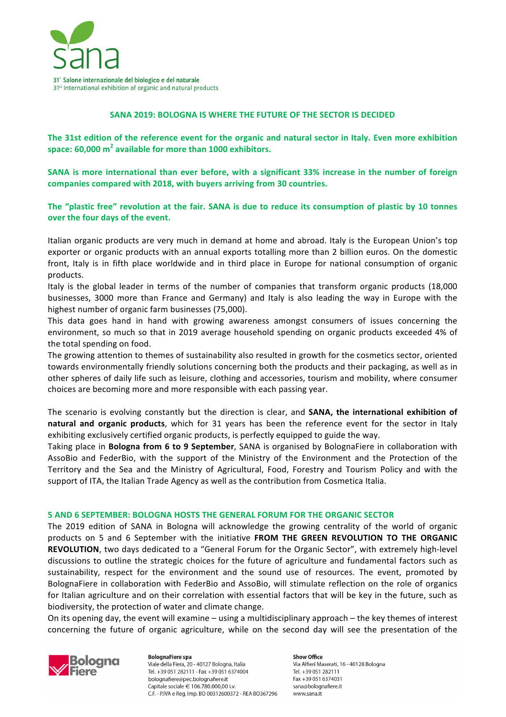

## **SANA 2019: BOLOGNA IS WHERE THE FUTURE OF THE SECTOR IS DECIDED**

The 31st edition of the reference event for the organic and natural sector in Italy. Even more exhibition **space:** 60,000 m<sup>2</sup> available for more than 1000 exhibitors.

**SANA** is more international than ever before, with a significant 33% increase in the number of foreign **companies compared with 2018, with buyers arriving from 30 countries.**

The "plastic free" revolution at the fair. SANA is due to reduce its consumption of plastic by 10 tonnes **over the four days of the event.** 

Italian organic products are very much in demand at home and abroad. Italy is the European Union's top exporter or organic products with an annual exports totalling more than 2 billion euros. On the domestic front, Italy is in fifth place worldwide and in third place in Europe for national consumption of organic products.

Italy is the global leader in terms of the number of companies that transform organic products (18,000 businesses, 3000 more than France and Germany) and Italy is also leading the way in Europe with the highest number of organic farm businesses (75,000).

This data goes hand in hand with growing awareness amongst consumers of issues concerning the environment, so much so that in 2019 average household spending on organic products exceeded 4% of the total spending on food.

The growing attention to themes of sustainability also resulted in growth for the cosmetics sector, oriented towards environmentally friendly solutions concerning both the products and their packaging, as well as in other spheres of daily life such as leisure, clothing and accessories, tourism and mobility, where consumer choices are becoming more and more responsible with each passing year.

The scenario is evolving constantly but the direction is clear, and **SANA, the international exhibition of** natural and organic products, which for 31 years has been the reference event for the sector in Italy exhibiting exclusively certified organic products, is perfectly equipped to guide the way.

Taking place in **Bologna from 6 to 9 September**, SANA is organised by BolognaFiere in collaboration with AssoBio and FederBio, with the support of the Ministry of the Environment and the Protection of the Territory and the Sea and the Ministry of Agricultural, Food, Forestry and Tourism Policy and with the support of ITA, the Italian Trade Agency as well as the contribution from Cosmetica Italia.

## **5 AND 6 SEPTEMBER: BOLOGNA HOSTS THE GENERAL FORUM FOR THE ORGANIC SECTOR**

The 2019 edition of SANA in Bologna will acknowledge the growing centrality of the world of organic products on 5 and 6 September with the initiative FROM THE GREEN REVOLUTION TO THE ORGANIC **REVOLUTION**, two days dedicated to a "General Forum for the Organic Sector", with extremely high-level discussions to outline the strategic choices for the future of agriculture and fundamental factors such as sustainability, respect for the environment and the sound use of resources. The event, promoted by BolognaFiere in collaboration with FederBio and AssoBio, will stimulate reflection on the role of organics for Italian agriculture and on their correlation with essential factors that will be key in the future, such as biodiversity, the protection of water and climate change.

On its opening day, the event will examine – using a multidisciplinary approach – the key themes of interest concerning the future of organic agriculture, while on the second day will see the presentation of the



**BolognaFiere spa** Viale della Fiera, 20 - 40127 Bologna, Italia Tel. +39 051 282111 - Fax +39 051 6374004 bolognafiere@pec.bolognafiere.it Capitale sociale € 106.780.000,00 i.v. C.F. - PIVA e Reg. Imp. BO 00312600372 - REA BO367296

**Show Office** Via Alfieri Maserati, 16 - 40128 Bologna Tel. +39 051 282111 Fax +39 051 6374031 sana@bolognafiere.it www.sana.it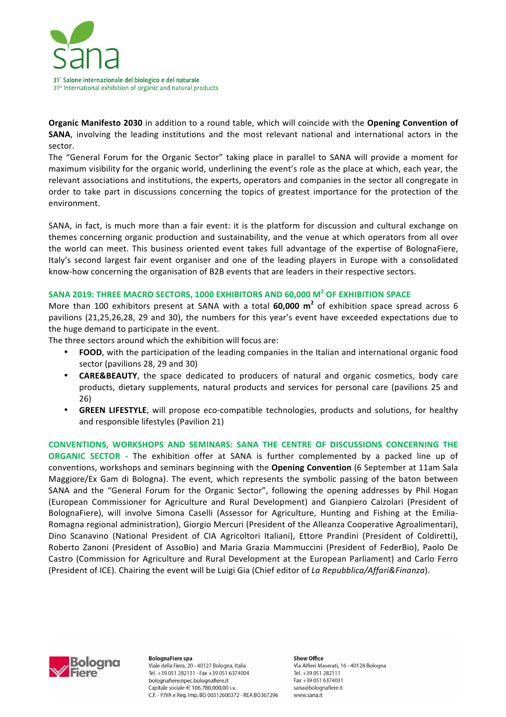

**Organic Manifesto 2030** in addition to a round table, which will coincide with the Opening Convention of **SANA**, involving the leading institutions and the most relevant national and international actors in the sector.

The "General Forum for the Organic Sector" taking place in parallel to SANA will provide a moment for maximum visibility for the organic world, underlining the event's role as the place at which, each year, the relevant associations and institutions, the experts, operators and companies in the sector all congregate in order to take part in discussions concerning the topics of greatest importance for the protection of the environment. 

SANA, in fact, is much more than a fair event: it is the platform for discussion and cultural exchange on themes concerning organic production and sustainability, and the venue at which operators from all over the world can meet. This business oriented event takes full advantage of the expertise of BolognaFiere, Italy's second largest fair event organiser and one of the leading players in Europe with a consolidated know-how concerning the organisation of B2B events that are leaders in their respective sectors.

## SANA 2019: THREE MACRO SECTORS, 1000 EXHIBITORS AND 60,000 M<sup>2</sup> OF EXHIBITION SPACE

More than 100 exhibitors present at SANA with a total **60,000 m<sup>2</sup>** of exhibition space spread across 6 pavilions (21,25,26,28, 29 and 30), the numbers for this year's event have exceeded expectations due to the huge demand to participate in the event.

The three sectors around which the exhibition will focus are:

- FOOD, with the participation of the leading companies in the Italian and international organic food sector (pavilions 28, 29 and 30)
- **CARE&BEAUTY**, the space dedicated to producers of natural and organic cosmetics, body care products, dietary supplements, natural products and services for personal care (pavilions 25 and 26)
- **GREEN LIFESTYLE**, will propose eco-compatible technologies, products and solutions, for healthy and responsible lifestyles (Pavilion 21)

**CONVENTIONS, WORKSHOPS AND SEMINARS: SANA THE CENTRE OF DISCUSSIONS CONCERNING THE ORGANIC SECTOR** - The exhibition offer at SANA is further complemented by a packed line up of conventions, workshops and seminars beginning with the **Opening Convention** (6 September at 11am Sala Maggiore/Ex Gam di Bologna). The event, which represents the symbolic passing of the baton between SANA and the "General Forum for the Organic Sector", following the opening addresses by Phil Hogan (European Commissioner for Agriculture and Rural Development) and Gianpiero Calzolari (President of BolognaFiere), will involve Simona Caselli (Assessor for Agriculture, Hunting and Fishing at the Emilia-Romagna regional administration), Giorgio Mercuri (President of the Alleanza Cooperative Agroalimentari), Dino Scanavino (National President of CIA Agricoltori Italiani), Ettore Prandini (President of Coldiretti), Roberto Zanoni (President of AssoBio) and Maria Grazia Mammuccini (President of FederBio), Paolo De Castro (Commission for Agriculture and Rural Development at the European Parliament) and Carlo Ferro (President of ICE). Chairing the event will be Luigi Gia (Chief editor of La Repubblica/Affari&Finanza).



**BolognaFiere** spa Viale della Fiera. 20 - 40127 Bologna, Italia Tel. +39 051 282111 - Fax +39 051 6374004 bolognafiere@pec.bolognafiere.it Capitale sociale € 106.780.000,00 i.v. C.F. - P.IVA e Reg. Imp. BO 00312600372 - REA BO367296 **Show Office** Via Alfieri Maserati, 16 - 40128 Bologna Tel. +39 051 282111 Eax +39.051.6374031 sana@bolognafiere.it www.sana.it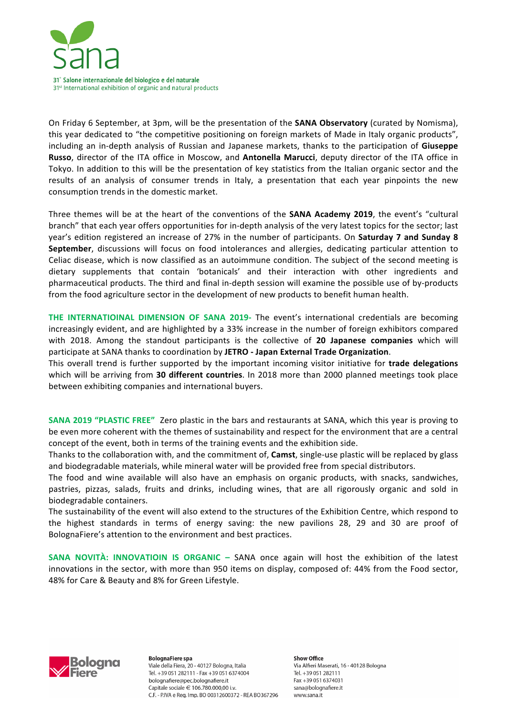

On Friday 6 September, at 3pm, will be the presentation of the **SANA Observatory** (curated by Nomisma), this year dedicated to "the competitive positioning on foreign markets of Made in Italy organic products", including an in-depth analysis of Russian and Japanese markets, thanks to the participation of Giuseppe **Russo**, director of the ITA office in Moscow, and **Antonella Marucci**, deputy director of the ITA office in Tokyo. In addition to this will be the presentation of key statistics from the Italian organic sector and the results of an analysis of consumer trends in Italy, a presentation that each year pinpoints the new consumption trends in the domestic market.

Three themes will be at the heart of the conventions of the **SANA Academy 2019**, the event's "cultural branch" that each year offers opportunities for in-depth analysis of the very latest topics for the sector; last year's edition registered an increase of 27% in the number of participants. On Saturday 7 and Sunday 8 **September**, discussions will focus on food intolerances and allergies, dedicating particular attention to Celiac disease, which is now classified as an autoimmune condition. The subject of the second meeting is dietary supplements that contain 'botanicals' and their interaction with other ingredients and pharmaceutical products. The third and final in-depth session will examine the possible use of by-products from the food agriculture sector in the development of new products to benefit human health.

**THE INTERNATIOINAL DIMENSION OF SANA 2019-** The event's international credentials are becoming increasingly evident, and are highlighted by a 33% increase in the number of foreign exhibitors compared with 2018. Among the standout participants is the collective of 20 Japanese companies which will participate at SANA thanks to coordination by JETRO - Japan External Trade Organization.

This overall trend is further supported by the important incoming visitor initiative for **trade delegations** which will be arriving from 30 different countries. In 2018 more than 2000 planned meetings took place between exhibiting companies and international buyers.

**SANA 2019 "PLASTIC FREE"** Zero plastic in the bars and restaurants at SANA, which this year is proving to be even more coherent with the themes of sustainability and respect for the environment that are a central concept of the event, both in terms of the training events and the exhibition side.

Thanks to the collaboration with, and the commitment of, **Camst**, single-use plastic will be replaced by glass and biodegradable materials, while mineral water will be provided free from special distributors.

The food and wine available will also have an emphasis on organic products, with snacks, sandwiches, pastries, pizzas, salads, fruits and drinks, including wines, that are all rigorously organic and sold in biodegradable containers.

The sustainability of the event will also extend to the structures of the Exhibition Centre, which respond to the highest standards in terms of energy saving: the new pavilions 28, 29 and 30 are proof of BolognaFiere's attention to the environment and best practices.

**SANA NOVITÀ: INNOVATIOIN IS ORGANIC - SANA once again will host the exhibition of the latest** innovations in the sector, with more than 950 items on display, composed of: 44% from the Food sector, 48% for Care & Beauty and 8% for Green Lifestyle.



**BolognaFiere** spa Viale della Fiera. 20 - 40127 Bologna, Italia Tel. +39 051 282111 - Fax +39 051 6374004 bolognafiere@pec.bolognafiere.it Capitale sociale € 106.780.000,00 i.v. C.F. - P.IVA e Reg. Imp. BO 00312600372 - REA BO367296 **Show Office** Via Alfieri Maserati, 16 - 40128 Bologna Tel. +39 051 282111 Eax +39.051.6374031 sana@bolognafiere.it www.sana.it